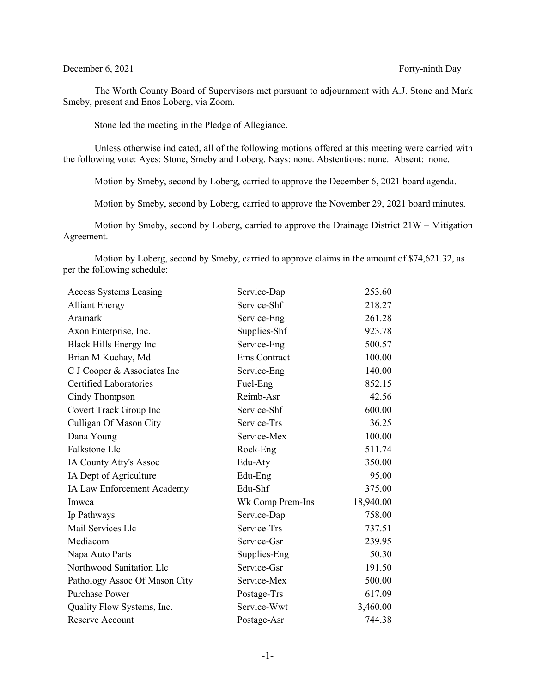## December 6, 2021 Forty-ninth Day

The Worth County Board of Supervisors met pursuant to adjournment with A.J. Stone and Mark Smeby, present and Enos Loberg, via Zoom.

Stone led the meeting in the Pledge of Allegiance.

Unless otherwise indicated, all of the following motions offered at this meeting were carried with the following vote: Ayes: Stone, Smeby and Loberg. Nays: none. Abstentions: none. Absent: none.

Motion by Smeby, second by Loberg, carried to approve the December 6, 2021 board agenda.

Motion by Smeby, second by Loberg, carried to approve the November 29, 2021 board minutes.

Motion by Smeby, second by Loberg, carried to approve the Drainage District 21W – Mitigation Agreement.

Motion by Loberg, second by Smeby, carried to approve claims in the amount of \$74,621.32, as per the following schedule:

| <b>Access Systems Leasing</b> | Service-Dap         | 253.60    |
|-------------------------------|---------------------|-----------|
| <b>Alliant Energy</b>         | Service-Shf         | 218.27    |
| Aramark                       | Service-Eng         | 261.28    |
| Axon Enterprise, Inc.         | Supplies-Shf        | 923.78    |
| Black Hills Energy Inc        | Service-Eng         | 500.57    |
| Brian M Kuchay, Md            | <b>Ems</b> Contract | 100.00    |
| C J Cooper & Associates Inc   | Service-Eng         | 140.00    |
| Certified Laboratories        | Fuel-Eng            | 852.15    |
| Cindy Thompson                | Reimb-Asr           | 42.56     |
| Covert Track Group Inc        | Service-Shf         | 600.00    |
| Culligan Of Mason City        | Service-Trs         | 36.25     |
| Dana Young                    | Service-Mex         | 100.00    |
| Falkstone Llc                 | Rock-Eng            | 511.74    |
| IA County Atty's Assoc        | Edu-Aty             | 350.00    |
| IA Dept of Agriculture        | Edu-Eng             | 95.00     |
| IA Law Enforcement Academy    | Edu-Shf             | 375.00    |
| Imwca                         | Wk Comp Prem-Ins    | 18,940.00 |
| Ip Pathways                   | Service-Dap         | 758.00    |
| Mail Services Llc             | Service-Trs         | 737.51    |
| Mediacom                      | Service-Gsr         | 239.95    |
| Napa Auto Parts               | Supplies-Eng        | 50.30     |
| Northwood Sanitation Llc      | Service-Gsr         | 191.50    |
| Pathology Assoc Of Mason City | Service-Mex         | 500.00    |
| <b>Purchase Power</b>         | Postage-Trs         | 617.09    |
| Quality Flow Systems, Inc.    | Service-Wwt         | 3,460.00  |
| Reserve Account               | Postage-Asr         | 744.38    |